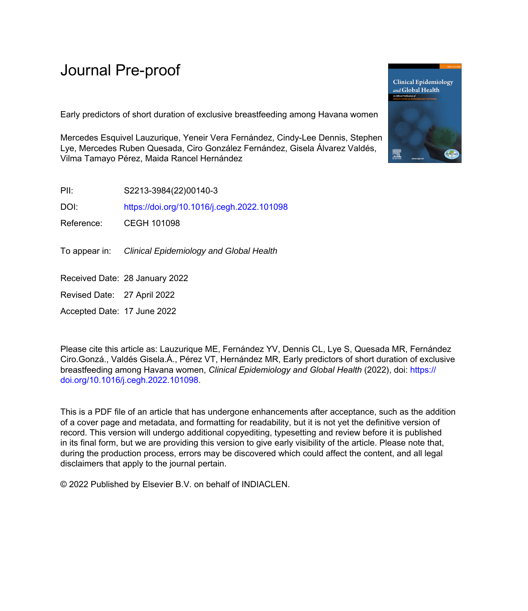# Journal Pre-proof

Early predictors of short duration of exclusive breastfeeding among Havana women

Mercedes Esquivel Lauzurique, Yeneir Vera Fernández, Cindy-Lee Dennis, Stephen Lye, Mercedes Ruben Quesada, Ciro González Fernández, Gisela Álvarez Valdés, Vilma Tamayo Pérez, Maida Rancel Hernández

PII: S2213-3984(22)00140-3

DOI: <https://doi.org/10.1016/j.cegh.2022.101098>

Reference: CEGH 101098

To appear in: Clinical Epidemiology and Global Health

Received Date: 28 January 2022

Revised Date: 27 April 2022

Accepted Date: 17 June 2022

Please cite this article as: Lauzurique ME, Fernández YV, Dennis CL, Lye S, Quesada MR, Fernández Ciro.Gonzá., Valdés Gisela.Á., Pérez VT, Hernández MR, Early predictors of short duration of exclusive breastfeeding among Havana women, *Clinical Epidemiology and Global Health* (2022), doi: [https://](https://doi.org/10.1016/j.cegh.2022.101098) [doi.org/10.1016/j.cegh.2022.101098](https://doi.org/10.1016/j.cegh.2022.101098).

This is a PDF file of an article that has undergone enhancements after acceptance, such as the addition of a cover page and metadata, and formatting for readability, but it is not yet the definitive version of record. This version will undergo additional copyediting, typesetting and review before it is published in its final form, but we are providing this version to give early visibility of the article. Please note that, during the production process, errors may be discovered which could affect the content, and all legal disclaimers that apply to the journal pertain.

© 2022 Published by Elsevier B.V. on behalf of INDIACLEN.

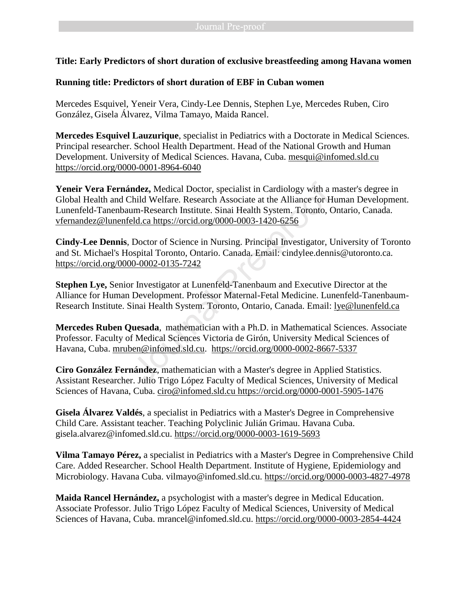# **Title: Early Predictors of short duration of exclusive breastfeeding among Havana women**

### **Running title: Predictors of short duration of EBF in Cuban women**

Mercedes Esquivel, Yeneir Vera, Cindy-Lee Dennis, Stephen Lye, Mercedes Ruben, Ciro González, Gisela Álvarez, Vilma Tamayo, Maida Rancel.

**Mercedes Esquivel Lauzurique**, specialist in Pediatrics with a Doctorate in Medical Sciences. Principal researcher. School Health Department. Head of the National Growth and Human Development. University of Medical Sciences. Havana, Cuba. [mesqui@infomed.sld.cu](mailto:mesqui@infomed.sld.cu) <https://orcid.org/0000-0001-8964-6040>

**Yeneir Vera Fernández,** Medical Doctor, specialist in Cardiology with a master's degree in Global Health and Child Welfare. Research Associate at the Alliance for Human Development. Lunenfeld-Tanenbaum-Research Institute. Sinai Health System. Toronto, Ontario, Canada. [vfernandez@lunenfeld.ca](mailto:vfernandez@lunenfeld.ca) https://orcid.org/0000-0003-1420-6256 ndez, Medical Doctor, specialist in Cardiology with a child Welfare. Research Associate at the Alliance for H<br>
1m-Research Institute. Sinai Health System. Toronto, C<br>
<u>eld.ca https://orcid.org/0000-0003-1420-6256</u><br>
Doctor

**Cindy-Lee Dennis**, Doctor of Science in Nursing. Principal Investigator, University of Toronto and St. Michael's Hospital Toronto, Ontario. Canada. Email: cindylee.dennis@utoronto.ca. <https://orcid.org/0000-0002-0135-7242>

**Stephen Lye,** Senior Investigator at Lunenfeld-Tanenbaum and Executive Director at the Alliance for Human Development. Professor Maternal-Fetal Medicine. Lunenfeld-Tanenbaum-Research Institute. Sinai Health System. Toronto, Ontario, Canada. Email: [lye@lunenfeld.ca](mailto:lye@lunenfeld.ca)

**Mercedes Ruben Quesada**, mathematician with a Ph.D. in Mathematical Sciences. Associate Professor. Faculty of Medical Sciences Victoria de Girón, University Medical Sciences of Havana, Cuba. [mruben@infomed.sld.cu.](mailto:mruben@infomed.sld.cu) <https://orcid.org/0000-0002-8667-5337>

**Ciro González Fernández**, mathematician with a Master's degree in Applied Statistics. Assistant Researcher. Julio Trigo López Faculty of Medical Sciences, University of Medical Sciences of Havana, Cuba. ciro@infomed.sld.cu<https://orcid.org/0000-0001-5905-1476>

**Gisela Álvarez Valdés**, a specialist in Pediatrics with a Master's Degree in Comprehensive Child Care. Assistant teacher. Teaching Polyclinic Julián Grimau. Havana Cuba. gisela.alvarez@infomed.sld.cu.<https://orcid.org/0000-0003-1619-5693>

**Vilma Tamayo Pérez,** a specialist in Pediatrics with a Master's Degree in Comprehensive Child Care. Added Researcher. School Health Department. Institute of Hygiene, Epidemiology and Microbiology. Havana Cuba. vilmayo@infomed.sld.cu.<https://orcid.org/0000-0003-4827-4978>

**Maida Rancel Hernández,** a psychologist with a master's degree in Medical Education. Associate Professor. Julio Trigo López Faculty of Medical Sciences, University of Medical Sciences of Havana, Cuba. mrancel@infomed.sld.cu.<https://orcid.org/0000-0003-2854-4424>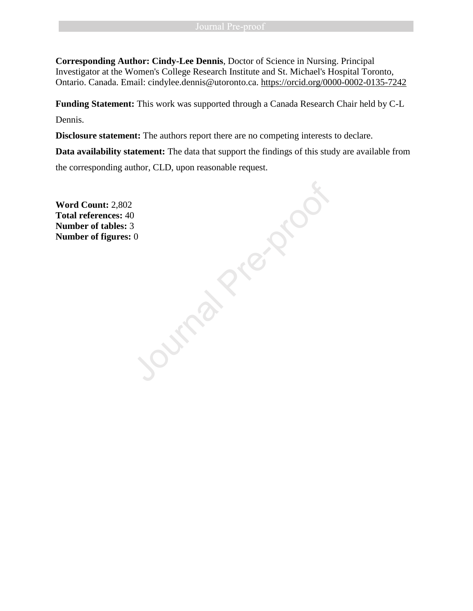**Corresponding Author: Cindy-Lee Dennis**, Doctor of Science in Nursing. Principal Investigator at the Women's College Research Institute and St. Michael's Hospital Toronto, Ontario. Canada. Email: cindylee.dennis@utoronto.ca.<https://orcid.org/0000-0002-0135-7242>

**Funding Statement:** This work was supported through a Canada Research Chair held by C-L Dennis.

**Disclosure statement:** The authors report there are no competing interests to declare.

**Data availability statement:** The data that support the findings of this study are available from

the corresponding author, CLD, upon reasonable request.

**Word Count:** 2,802 **Total references:** 40 **Number of tables:** 3 **Number of figures:** 0 Ournal Pre-proof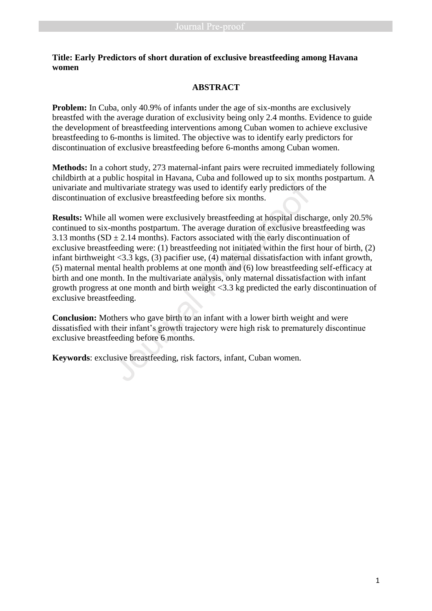# **Title: Early Predictors of short duration of exclusive breastfeeding among Havana women**

# **ABSTRACT**

**Problem:** In Cuba, only 40.9% of infants under the age of six-months are exclusively breastfed with the average duration of exclusivity being only 2.4 months. Evidence to guide the development of breastfeeding interventions among Cuban women to achieve exclusive breastfeeding to 6-months is limited. The objective was to identify early predictors for discontinuation of exclusive breastfeeding before 6-months among Cuban women.

**Methods:** In a cohort study, 273 maternal-infant pairs were recruited immediately following childbirth at a public hospital in Havana, Cuba and followed up to six months postpartum. A univariate and multivariate strategy was used to identify early predictors of the discontinuation of exclusive breastfeeding before six months.

**Results:** While all women were exclusively breastfeeding at hospital discharge, only 20.5% continued to six-months postpartum. The average duration of exclusive breastfeeding was 3.13 months ( $SD \pm 2.14$  months). Factors associated with the early discontinuation of exclusive breastfeeding were: (1) breastfeeding not initiated within the first hour of birth, (2) infant birthweight <3.3 kgs, (3) pacifier use, (4) maternal dissatisfaction with infant growth, (5) maternal mental health problems at one month and (6) low breastfeeding self-efficacy at birth and one month. In the multivariate analysis, only maternal dissatisfaction with infant growth progress at one month and birth weight <3.3 kg predicted the early discontinuation of exclusive breastfeeding. univariate and multivariate strategy was used to identify early predictors of discontinuation of exclusive breastfeeding before six months.<br>**Results:** While all women were exclusively breastfeeding at hospital disch contin

**Conclusion:** Mothers who gave birth to an infant with a lower birth weight and were dissatisfied with their infant's growth trajectory were high risk to prematurely discontinue exclusive breastfeeding before 6 months.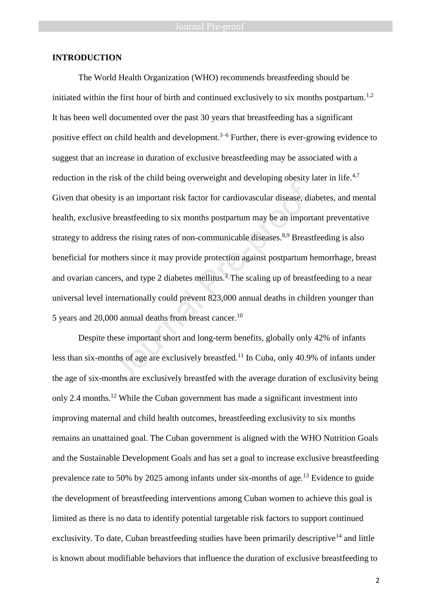### **INTRODUCTION**

The World Health Organization (WHO) recommends breastfeeding should be initiated within the first hour of birth and continued exclusively to six months postpartum.<sup>1,2</sup> It has been well documented over the past 30 years that breastfeeding has a significant positive effect on child health and development. $3-6$  Further, there is ever-growing evidence to suggest that an increase in duration of exclusive breastfeeding may be associated with a reduction in the risk of the child being overweight and developing obesity later in life.<sup>4,7</sup> Given that obesity is an important risk factor for cardiovascular disease, diabetes, and mental health, exclusive breastfeeding to six months postpartum may be an important preventative strategy to address the rising rates of non-communicable diseases.<sup>8,9</sup> Breastfeeding is also beneficial for mothers since it may provide protection against postpartum hemorrhage, breast and ovarian cancers, and type 2 diabetes mellitus.<sup>2</sup> The scaling up of breastfeeding to a near universal level internationally could prevent 823,000 annual deaths in children younger than 5 years and 20,000 annual deaths from breast cancer.<sup>10</sup> In the time ends of the long and alternative transferred in the transferred in the transferred in the transferred in the bease of the beastfeeding to six months postpartum may be an import ss the rising rates of non-commun

Despite these important short and long-term benefits, globally only 42% of infants less than six-months of age are exclusively breastfed.<sup>11</sup> In Cuba, only 40.9% of infants under the age of six-months are exclusively breastfed with the average duration of exclusivity being only 2.4 months.<sup>12</sup> While the Cuban government has made a significant investment into improving maternal and child health outcomes, breastfeeding exclusivity to six months remains an unattained goal. The Cuban government is aligned with the WHO Nutrition Goals and the Sustainable Development Goals and has set a goal to increase exclusive breastfeeding prevalence rate to 50% by 2025 among infants under six-months of age.<sup>13</sup> Evidence to guide the development of breastfeeding interventions among Cuban women to achieve this goal is limited as there is no data to identify potential targetable risk factors to support continued exclusivity. To date, Cuban breastfeeding studies have been primarily descriptive<sup>14</sup> and little is known about modifiable behaviors that influence the duration of exclusive breastfeeding to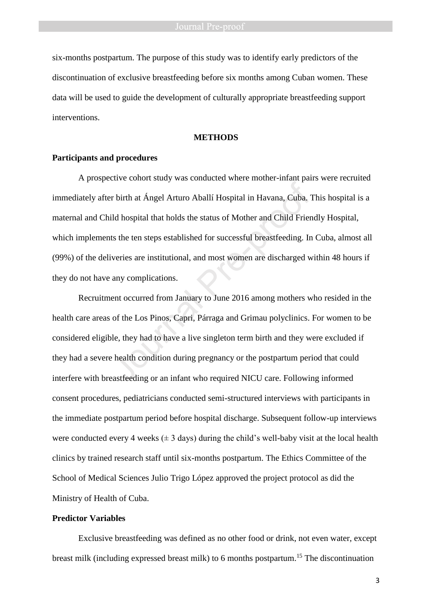six-months postpartum. The purpose of this study was to identify early predictors of the discontinuation of exclusive breastfeeding before six months among Cuban women. These data will be used to guide the development of culturally appropriate breastfeeding support interventions.

### **METHODS**

### **Participants and procedures**

A prospective cohort study was conducted where mother-infant pairs were recruited immediately after birth at Ángel Arturo Aballí Hospital in Havana, Cuba. This hospital is a maternal and Child hospital that holds the status of Mother and Child Friendly Hospital, which implements the ten steps established for successful breastfeeding. In Cuba, almost all (99%) of the deliveries are institutional, and most women are discharged within 48 hours if they do not have any complications. First Presentation and Mospital in Havana, Cuba.<br>
The birth at Ángel Arturo Aballí Hospital in Havana, Cuba.<br>
Tild hospital that holds the status of Mother and Child Friends.<br>
Interies are institutional, and most women are

Recruitment occurred from January to June 2016 among mothers who resided in the health care areas of the Los Pinos, Capri, Párraga and Grimau polyclinics. For women to be considered eligible, they had to have a live singleton term birth and they were excluded if they had a severe health condition during pregnancy or the postpartum period that could interfere with breastfeeding or an infant who required NICU care. Following informed consent procedures, pediatricians conducted semi-structured interviews with participants in the immediate postpartum period before hospital discharge. Subsequent follow-up interviews were conducted every 4 weeks ( $\pm$  3 days) during the child's well-baby visit at the local health clinics by trained research staff until six-months postpartum. The Ethics Committee of the School of Medical Sciences Julio Trigo López approved the project protocol as did the Ministry of Health of Cuba.

### **Predictor Variables**

Exclusive breastfeeding was defined as no other food or drink, not even water, except breast milk (including expressed breast milk) to 6 months postpartum.<sup>15</sup> The discontinuation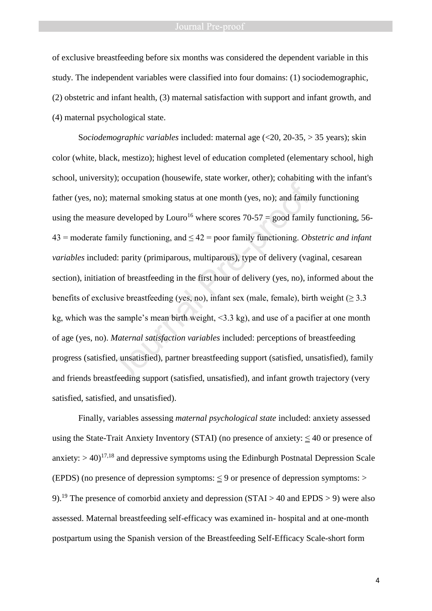### Journal Pre-proof

of exclusive breastfeeding before six months was considered the dependent variable in this study. The independent variables were classified into four domains: (1) sociodemographic, (2) obstetric and infant health, (3) maternal satisfaction with support and infant growth, and (4) maternal psychological state.

S*ociodemographic variables* included: maternal age (<20, 20-35, > 35 years); skin color (white, black, mestizo); highest level of education completed (elementary school, high school, university); occupation (housewife, state worker, other); cohabiting with the infant's father (yes, no); maternal smoking status at one month (yes, no); and family functioning using the measure developed by Louro<sup>16</sup> where scores 70-57 = good family functioning, 56-43 = moderate family functioning, and ≤ 42 = poor family functioning. *Obstetric and infant variables* included: parity (primiparous, multiparous), type of delivery (vaginal, cesarean section), initiation of breastfeeding in the first hour of delivery (yes, no), informed about the benefits of exclusive breastfeeding (yes, no), infant sex (male, female), birth weight ( $>$ 3.3) kg, which was the sample's mean birth weight,  $\leq$ 3.3 kg), and use of a pacifier at one month of age (yes, no). *Maternal satisfaction variables* included: perceptions of breastfeeding progress (satisfied, unsatisfied), partner breastfeeding support (satisfied, unsatisfied), family and friends breastfeeding support (satisfied, unsatisfied), and infant growth trajectory (very satisfied, satisfied, and unsatisfied). maternal smoking status at one month (yes, no); and family<br>redeveloped by Louro<sup>16</sup> where scores 70-57 = good family<br>umily functioning, and  $\leq 42$  = poor family functioning. *Ob*<br>ed: parity (primiparous, multiparous), t

Finally, variables assessing *maternal psychological state* included: anxiety assessed using the State-Trait Anxiety Inventory (STAI) (no presence of anxiety:  $\leq 40$  or presence of anxiety:  $>$  40)<sup>17,18</sup> and depressive symptoms using the Edinburgh Postnatal Depression Scale (EPDS) (no presence of depression symptoms:  $\leq$  9 or presence of depression symptoms:  $>$ 9).<sup>19</sup> The presence of comorbid anxiety and depression (STAI > 40 and EPDS > 9) were also assessed. Maternal breastfeeding self-efficacy was examined in- hospital and at one-month postpartum using the Spanish version of the Breastfeeding Self-Efficacy Scale-short form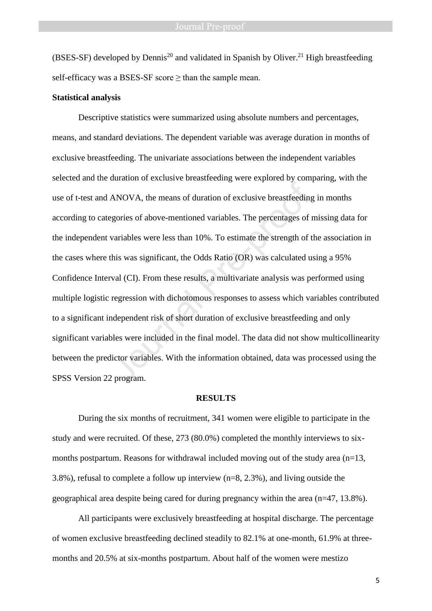(BSES-SF) developed by Dennis<sup>20</sup> and validated in Spanish by Oliver.<sup>21</sup> High breastfeeding self-efficacy was a BSES-SF score  $\geq$  than the sample mean.

### **Statistical analysis**

Descriptive statistics were summarized using absolute numbers and percentages, means, and standard deviations. The dependent variable was average duration in months of exclusive breastfeeding. The univariate associations between the independent variables selected and the duration of exclusive breastfeeding were explored by comparing, with the use of t-test and ANOVA, the means of duration of exclusive breastfeeding in months according to categories of above-mentioned variables. The percentages of missing data for the independent variables were less than 10%. To estimate the strength of the association in the cases where this was significant, the Odds Ratio (OR) was calculated using a 95% Confidence Interval (CI). From these results, a multivariate analysis was performed using multiple logistic regression with dichotomous responses to assess which variables contributed to a significant independent risk of short duration of exclusive breastfeeding and only significant variables were included in the final model. The data did not show multicollinearity between the predictor variables. With the information obtained, data was processed using the SPSS Version 22 program. MANOVA, the means of duration of exclusive breastfeeding<br>gories of above-mentioned variables. The percentages of<br>variables were less than 10%. To estimate the strength of this<br>was significant, the Odds Ratio (OR) was calcu

### **RESULTS**

During the six months of recruitment, 341 women were eligible to participate in the study and were recruited. Of these, 273 (80.0%) completed the monthly interviews to sixmonths postpartum. Reasons for withdrawal included moving out of the study area  $(n=13,$ 3.8%), refusal to complete a follow up interview (n=8, 2.3%), and living outside the geographical area despite being cared for during pregnancy within the area (n=47, 13.8%).

All participants were exclusively breastfeeding at hospital discharge. The percentage of women exclusive breastfeeding declined steadily to 82.1% at one-month, 61.9% at threemonths and 20.5% at six-months postpartum. About half of the women were mestizo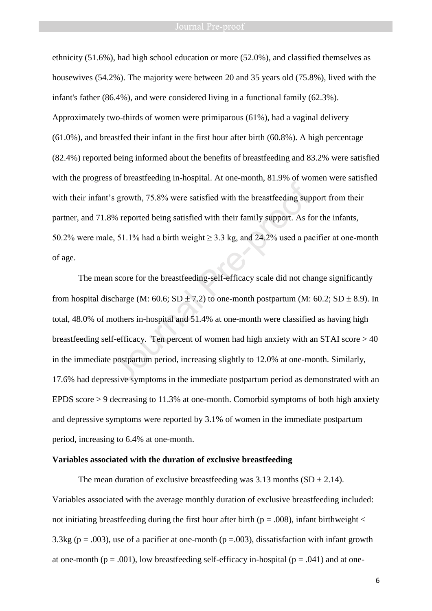ethnicity (51.6%), had high school education or more (52.0%), and classified themselves as housewives (54.2%). The majority were between 20 and 35 years old (75.8%), lived with the infant's father (86.4%), and were considered living in a functional family (62.3%). Approximately two-thirds of women were primiparous (61%), had a vaginal delivery (61.0%), and breastfed their infant in the first hour after birth (60.8%). A high percentage (82.4%) reported being informed about the benefits of breastfeeding and 83.2% were satisfied with the progress of breastfeeding in-hospital. At one-month, 81.9% of women were satisfied with their infant's growth, 75.8% were satisfied with the breastfeeding support from their partner, and 71.8% reported being satisfied with their family support. As for the infants, 50.2% were male, 51.1% had a birth weight  $\geq$  3.3 kg, and 24.2% used a pacifier at one-month of age.

The mean score for the breastfeeding-self-efficacy scale did not change significantly from hospital discharge (M: 60.6; SD  $\pm$  7.2) to one-month postpartum (M: 60.2; SD  $\pm$  8.9). In total, 48.0% of mothers in-hospital and 51.4% at one-month were classified as having high breastfeeding self-efficacy. Ten percent of women had high anxiety with an STAI score > 40 in the immediate postpartum period, increasing slightly to 12.0% at one-month. Similarly, 17.6% had depressive symptoms in the immediate postpartum period as demonstrated with an EPDS score > 9 decreasing to 11.3% at one-month. Comorbid symptoms of both high anxiety and depressive symptoms were reported by 3.1% of women in the immediate postpartum period, increasing to 6.4% at one-month. Solvet the main of the breastfeeding sup<br>Solvet the breastfeeding sup<br>Solvet the breastfeeding sup<br>Solvet the breastfeeding sup<br>proof. As formulated being satisfied with their family support. As formulated as<br>a particle,

### **Variables associated with the duration of exclusive breastfeeding**

The mean duration of exclusive breastfeeding was 3.13 months  $(SD \pm 2.14)$ . Variables associated with the average monthly duration of exclusive breastfeeding included: not initiating breastfeeding during the first hour after birth ( $p = .008$ ), infant birthweight  $\lt$ 3.3kg ( $p = .003$ ), use of a pacifier at one-month ( $p = .003$ ), dissatisfaction with infant growth at one-month ( $p = .001$ ), low breastfeeding self-efficacy in-hospital ( $p = .041$ ) and at one-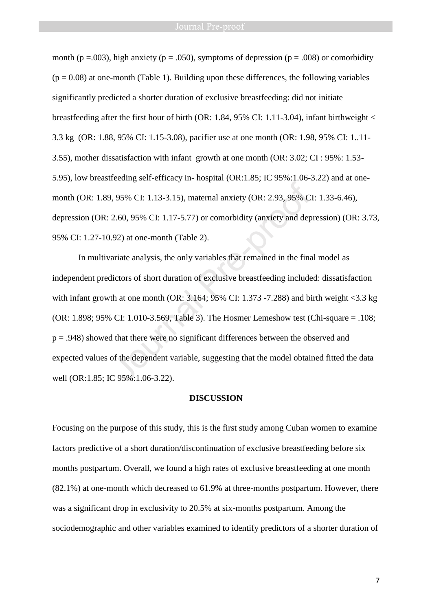month ( $p = .003$ ), high anxiety ( $p = .050$ ), symptoms of depression ( $p = .008$ ) or comorbidity  $(p = 0.08)$  at one-month (Table 1). Building upon these differences, the following variables significantly predicted a shorter duration of exclusive breastfeeding: did not initiate breastfeeding after the first hour of birth (OR: 1.84, 95% CI: 1.11-3.04), infant birthweight < 3.3 kg (OR: 1.88, 95% CI: 1.15-3.08), pacifier use at one month (OR: 1.98, 95% CI: 1..11- 3.55), mother dissatisfaction with infant growth at one month (OR: 3.02; CI : 95%: 1.53- 5.95), low breastfeeding self-efficacy in- hospital (OR:1.85; IC 95%:1.06-3.22) and at onemonth (OR: 1.89, 95% CI: 1.13-3.15), maternal anxiety (OR: 2.93, 95% CI: 1.33-6.46), depression (OR: 2.60, 95% CI: 1.17-5.77) or comorbidity (anxiety and depression) (OR: 3.73, 95% CI: 1.27-10.92) at one-month (Table 2).

In multivariate analysis, the only variables that remained in the final model as independent predictors of short duration of exclusive breastfeeding included: dissatisfaction with infant growth at one month (OR:  $3.164$ ;  $95\%$  CI: 1.373 -7.288) and birth weight <3.3 kg (OR: 1.898; 95% CI: 1.010-3.569, Table 3). The Hosmer Lemeshow test (Chi-square = .108; p = .948) showed that there were no significant differences between the observed and expected values of the dependent variable, suggesting that the model obtained fitted the data well (OR:1.85; IC 95%:1.06-3.22). 9.95% CI: 1.13-3.15), maternal anxiety (OR: 2.93, 95% C<br>2.60, 95% CI: 1.17-5.77) or comorbidity (anxiety and dep<br>9.92) at one-month (Table 2).<br>ariate analysis, the only variables that remained in the final<br>dictors of shor

### **DISCUSSION**

Focusing on the purpose of this study, this is the first study among Cuban women to examine factors predictive of a short duration/discontinuation of exclusive breastfeeding before six months postpartum. Overall, we found a high rates of exclusive breastfeeding at one month (82.1%) at one-month which decreased to 61.9% at three-months postpartum. However, there was a significant drop in exclusivity to 20.5% at six-months postpartum. Among the sociodemographic and other variables examined to identify predictors of a shorter duration of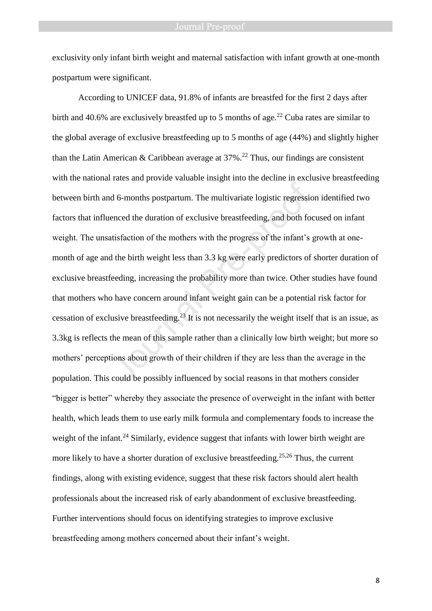### **Journal Pre-proof**

exclusivity only infant birth weight and maternal satisfaction with infant growth at one-month postpartum were significant.

According to UNICEF data, 91.8% of infants are breastfed for the first 2 days after birth and 40.6% are exclusively breastfed up to 5 months of age.<sup>22</sup> Cuba rates are similar to the global average of exclusive breastfeeding up to 5 months of age (44%) and slightly higher than the Latin American & Caribbean average at  $37\%$ <sup>22</sup> Thus, our findings are consistent with the national rates and provide valuable insight into the decline in exclusive breastfeeding between birth and 6-months postpartum. The multivariate logistic regression identified two factors that influenced the duration of exclusive breastfeeding, and both focused on infant weight. The unsatisfaction of the mothers with the progress of the infant's growth at onemonth of age and the birth weight less than 3.3 kg were early predictors of shorter duration of exclusive breastfeeding, increasing the probability more than twice. Other studies have found that mothers who have concern around infant weight gain can be a potential risk factor for cessation of exclusive breastfeeding.<sup>23</sup> It is not necessarily the weight itself that is an issue, as 3.3kg is reflects the mean of this sample rather than a clinically low birth weight; but more so mothers' perceptions about growth of their children if they are less than the average in the population. This could be possibly influenced by social reasons in that mothers consider "bigger is better" whereby they associate the presence of overweight in the infant with better health, which leads them to use early milk formula and complementary foods to increase the weight of the infant.<sup>24</sup> Similarly, evidence suggest that infants with lower birth weight are more likely to have a shorter duration of exclusive breastfeeding.<sup>25,26</sup> Thus, the current findings, along with existing evidence, suggest that these risk factors should alert health professionals about the increased risk of early abandonment of exclusive breastfeeding. Further interventions should focus on identifying strategies to improve exclusive breastfeeding among mothers concerned about their infant's weight. d 6-months postpartum. The multivariate logistic regression<br>enced the duration of exclusive breastfeeding, and both fo<br>tisfaction of the mothers with the progress of the infant's<br>d the birth weight less than 3.3 kg were ea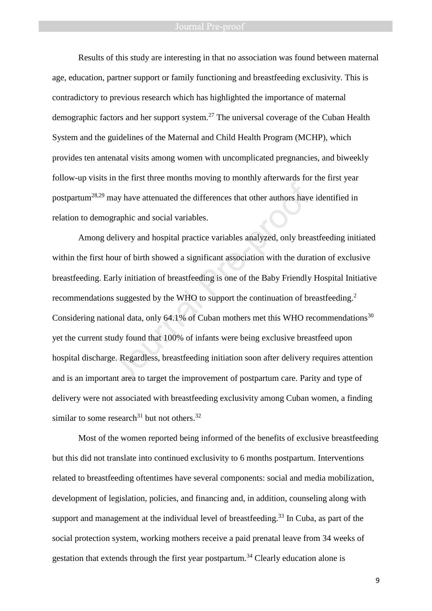Results of this study are interesting in that no association was found between maternal age, education, partner support or family functioning and breastfeeding exclusivity. This is contradictory to previous research which has highlighted the importance of maternal demographic factors and her support system.<sup>27</sup> The universal coverage of the Cuban Health System and the guidelines of the Maternal and Child Health Program (MCHP), which provides ten antenatal visits among women with uncomplicated pregnancies, and biweekly follow-up visits in the first three months moving to monthly afterwards for the first year postpartum<sup>28,29</sup> may have attenuated the differences that other authors have identified in relation to demographic and social variables.

Among delivery and hospital practice variables analyzed, only breastfeeding initiated within the first hour of birth showed a significant association with the duration of exclusive breastfeeding. Early initiation of breastfeeding is one of the Baby Friendly Hospital Initiative recommendations suggested by the WHO to support the continuation of breastfeeding.<sup>2</sup> Considering national data, only 64.1% of Cuban mothers met this WHO recommendations<sup>30</sup> yet the current study found that 100% of infants were being exclusive breastfeed upon hospital discharge. Regardless, breastfeeding initiation soon after delivery requires attention and is an important area to target the improvement of postpartum care. Parity and type of delivery were not associated with breastfeeding exclusivity among Cuban women, a finding similar to some research<sup>31</sup> but not others.<sup>32</sup> may have attenuated the differences that other authors have<br>graphic and social variables.<br>lelivery and hospital practice variables analyzed, only brea<br>our of birth showed a significant association with the dura<br>arly initia

Most of the women reported being informed of the benefits of exclusive breastfeeding but this did not translate into continued exclusivity to 6 months postpartum. Interventions related to breastfeeding oftentimes have several components: social and media mobilization, development of legislation, policies, and financing and, in addition, counseling along with support and management at the individual level of breastfeeding.<sup>33</sup> In Cuba, as part of the social protection system, working mothers receive a paid prenatal leave from 34 weeks of gestation that extends through the first year postpartum.<sup>34</sup> Clearly education alone is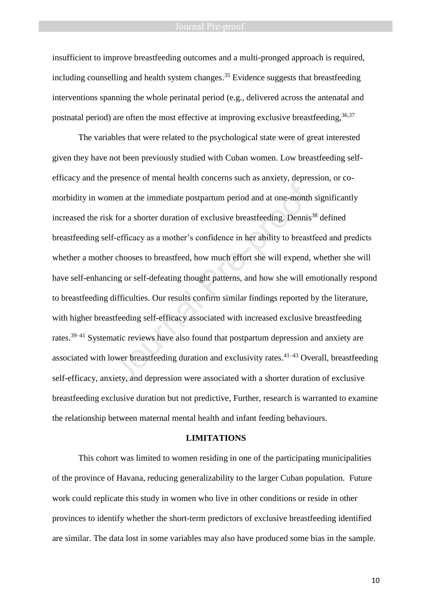insufficient to improve breastfeeding outcomes and a multi-pronged approach is required, including counselling and health system changes. <sup>35</sup> Evidence suggests that breastfeeding interventions spanning the whole perinatal period (e.g., delivered across the antenatal and postnatal period) are often the most effective at improving exclusive breastfeeding,  $36,37$ 

The variables that were related to the psychological state were of great interested given they have not been previously studied with Cuban women. Low breastfeeding selfefficacy and the presence of mental health concerns such as anxiety, depression, or comorbidity in women at the immediate postpartum period and at one-month significantly increased the risk for a shorter duration of exclusive breastfeeding. Dennis<sup>38</sup> defined breastfeeding self-efficacy as a mother's confidence in her ability to breastfeed and predicts whether a mother chooses to breastfeed, how much effort she will expend, whether she will have self-enhancing or self-defeating thought patterns, and how she will emotionally respond to breastfeeding difficulties. Our results confirm similar findings reported by the literature, with higher breastfeeding self-efficacy associated with increased exclusive breastfeeding rates.39–41 Systematic reviews have also found that postpartum depression and anxiety are associated with lower breastfeeding duration and exclusivity rates.<sup>41–43</sup> Overall, breastfeeding self-efficacy, anxiety, and depression were associated with a shorter duration of exclusive breastfeeding exclusive duration but not predictive, Further, research is warranted to examine the relationship between maternal mental health and infant feeding behaviours. nen at the immediate postpartum period and at one-month<br>that of a shorter duration of exclusive breastfeeding. Dennis<br>f-efficacy as a mother's confidence in her ability to breast<br>r chooses to breastfeed, how much effort sh

### **LIMITATIONS**

This cohort was limited to women residing in one of the participating municipalities of the province of Havana, reducing generalizability to the larger Cuban population. Future work could replicate this study in women who live in other conditions or reside in other provinces to identify whether the short-term predictors of exclusive breastfeeding identified are similar. The data lost in some variables may also have produced some bias in the sample.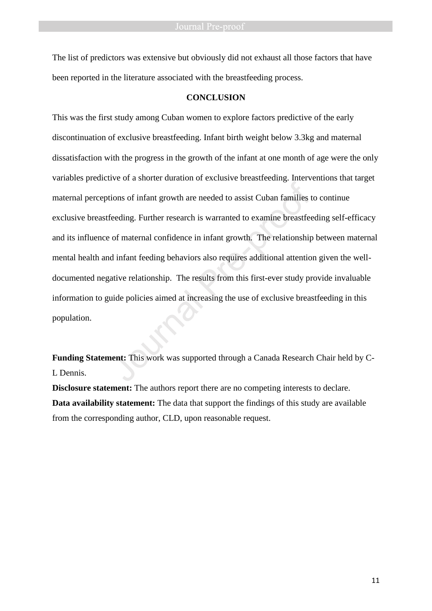The list of predictors was extensive but obviously did not exhaust all those factors that have been reported in the literature associated with the breastfeeding process.

### **CONCLUSION**

This was the first study among Cuban women to explore factors predictive of the early discontinuation of exclusive breastfeeding. Infant birth weight below 3.3kg and maternal dissatisfaction with the progress in the growth of the infant at one month of age were the only variables predictive of a shorter duration of exclusive breastfeeding. Interventions that target maternal perceptions of infant growth are needed to assist Cuban families to continue exclusive breastfeeding. Further research is warranted to examine breastfeeding self-efficacy and its influence of maternal confidence in infant growth. The relationship between maternal mental health and infant feeding behaviors also requires additional attention given the welldocumented negative relationship. The results from this first-ever study provide invaluable information to guide policies aimed at increasing the use of exclusive breastfeeding in this population. For the antitate and allegence the antitive terms of infant growth are needed to assist Cuban families the elations of maternal confidence in infant growth. The relationship d infant feeding behaviors also requires additio

**Funding Statement:** This work was supported through a Canada Research Chair held by C-L Dennis.

**Disclosure statement:** The authors report there are no competing interests to declare. **Data availability statement:** The data that support the findings of this study are available from the corresponding author, CLD, upon reasonable request.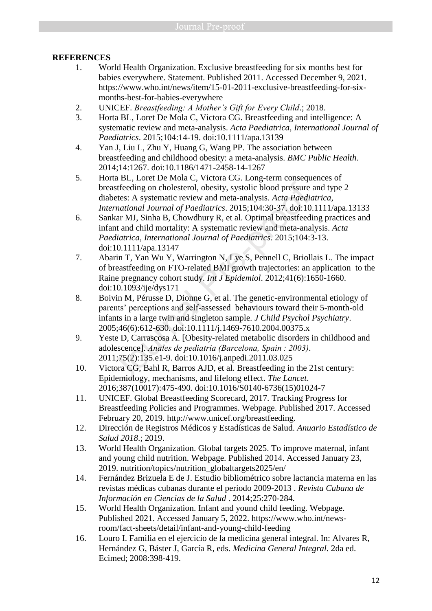# **REFERENCES**

- 1. World Health Organization. Exclusive breastfeeding for six months best for babies everywhere. Statement. Published 2011. Accessed December 9, 2021. https://www.who.int/news/item/15-01-2011-exclusive-breastfeeding-for-sixmonths-best-for-babies-everywhere
- 2. UNICEF. *Breastfeeding: A Mother's Gift for Every Child*.; 2018.
- 3. Horta BL, Loret De Mola C, Victora CG. Breastfeeding and intelligence: A systematic review and meta-analysis. *Acta Paediatrica, International Journal of Paediatrics*. 2015;104:14-19. doi:10.1111/apa.13139
- 4. Yan J, Liu L, Zhu Y, Huang G, Wang PP. The association between breastfeeding and childhood obesity: a meta-analysis. *BMC Public Health*. 2014;14:1267. doi:10.1186/1471-2458-14-1267
- 5. Horta BL, Loret De Mola C, Victora CG. Long-term consequences of breastfeeding on cholesterol, obesity, systolic blood pressure and type 2 diabetes: A systematic review and meta-analysis. *Acta Paediatrica, International Journal of Paediatrics*. 2015;104:30-37. doi:10.1111/apa.13133
- 6. Sankar MJ, Sinha B, Chowdhury R, et al. Optimal breastfeeding practices and infant and child mortality: A systematic review and meta-analysis. *Acta Paediatrica, International Journal of Paediatrics*. 2015;104:3-13. doi:10.1111/apa.13147 astfeeding on cholesterol, obesity, systolic blood pressure<br>astfeeding on cholesterol, obesity, systolic blood pressure<br>betes: A systematic review and meta-analysis. Acta Paedia<br>ernational Journal of Paediatrics. 2015;104:
- 7. Abarin T, Yan Wu Y, Warrington N, Lye S, Pennell C, Briollais L. The impact of breastfeeding on FTO-related BMI growth trajectories: an application to the Raine pregnancy cohort study. *Int J Epidemiol*. 2012;41(6):1650-1660. doi:10.1093/ije/dys171
- 8. Boivin M, Pérusse D, Dionne G, et al. The genetic-environmental etiology of parents' perceptions and self-assessed behaviours toward their 5-month-old infants in a large twin and singleton sample. *J Child Psychol Psychiatry*. 2005;46(6):612-630. doi:10.1111/j.1469-7610.2004.00375.x
- 9. Yeste D, Carrascosa A. [Obesity-related metabolic disorders in childhood and adolescence]. *Anales de pediatria (Barcelona, Spain : 2003)*. 2011;75(2):135.e1-9. doi:10.1016/j.anpedi.2011.03.025
- 10. Victora CG, Bahl R, Barros AJD, et al. Breastfeeding in the 21st century: Epidemiology, mechanisms, and lifelong effect. *The Lancet*. 2016;387(10017):475-490. doi:10.1016/S0140-6736(15)01024-7
- 11. UNICEF. Global Breastfeeding Scorecard, 2017. Tracking Progress for Breastfeeding Policies and Programmes. Webpage. Published 2017. Accessed February 20, 2019. http://www.unicef.org/breastfeeding.
- 12. Dirección de Registros Médicos y Estadísticas de Salud. *Anuario Estadístico de Salud 2018*.; 2019.
- 13. World Health Organization. Global targets 2025. To improve maternal, infant and young child nutrition. Webpage. Published 2014. Accessed January 23, 2019. nutrition/topics/nutrition\_globaltargets2025/en/
- 14. Fernández Brizuela E de J. Estudio bibliométrico sobre lactancia materna en las revistas médicas cubanas durante el período 2009-2013 . *Revista Cubana de Información en Ciencias de la Salud* . 2014;25:270-284.
- 15. World Health Organization. Infant and yound child feeding. Webpage. Published 2021. Accessed January 5, 2022. https://www.who.int/newsroom/fact-sheets/detail/infant-and-young-child-feeding
- 16. Louro I. Familia en el ejercicio de la medicina general integral. In: Alvares R, Hernández G, Báster J, García R, eds. *Medicina General Integral.* 2da ed. Ecimed; 2008:398-419.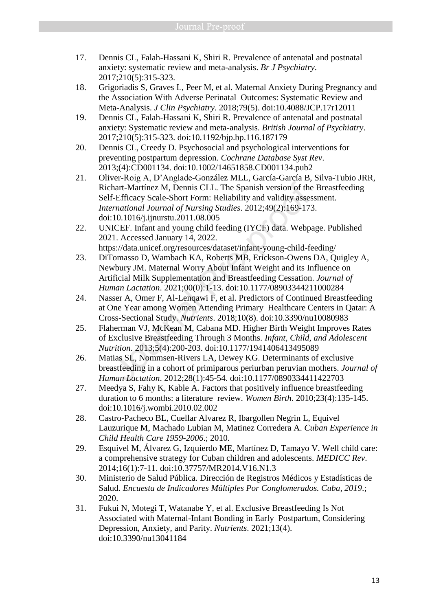- 17. Dennis CL, Falah-Hassani K, Shiri R. Prevalence of antenatal and postnatal anxiety: systematic review and meta-analysis. *Br J Psychiatry*. 2017;210(5):315-323.
- 18. Grigoriadis S, Graves L, Peer M, et al. Maternal Anxiety During Pregnancy and the Association With Adverse Perinatal Outcomes: Systematic Review and Meta-Analysis. *J Clin Psychiatry*. 2018;79(5). doi:10.4088/JCP.17r12011
- 19. Dennis CL, Falah-Hassani K, Shiri R. Prevalence of antenatal and postnatal anxiety: Systematic review and meta-analysis. *British Journal of Psychiatry*. 2017;210(5):315-323. doi:10.1192/bjp.bp.116.187179
- 20. Dennis CL, Creedy D. Psychosocial and psychological interventions for preventing postpartum depression. *Cochrane Database Syst Rev*. 2013;(4):CD001134. doi:10.1002/14651858.CD001134.pub2
- 21. Oliver-Roig A, D'Anglade-González MLL, García-García B, Silva-Tubio JRR, Richart-Martínez M, Dennis CLL. The Spanish version of the Breastfeeding Self-Efficacy Scale-Short Form: Reliability and validity assessment. *International Journal of Nursing Studies*. 2012;49(2):169-173. doi:10.1016/j.ijnurstu.2011.08.005 thart-Martínez M, Dennis CLL. The Spanish version of the<br>f-Efficacy Scale-Short Form: Reliability and validity assesemational Journal of Nursing Studies. 2012;49(2):169-17:<br>10.1016/j.ijnurstu.2011.08.005<br>IICEF. Infant and
- 22. UNICEF. Infant and young child feeding (IYCF) data. Webpage. Published 2021. Accessed January 14, 2022. https://data.unicef.org/resources/dataset/infant-young-child-feeding/
- 23. DiTomasso D, Wambach KA, Roberts MB, Erickson-Owens DA, Quigley A, Newbury JM. Maternal Worry About Infant Weight and its Influence on Artificial Milk Supplementation and Breastfeeding Cessation. *Journal of Human Lactation*. 2021;00(0):1-13. doi:10.1177/08903344211000284
- 24. Nasser A, Omer F, Al-Lenqawi F, et al. Predictors of Continued Breastfeeding at One Year among Women Attending Primary Healthcare Centers in Qatar: A Cross-Sectional Study. *Nutrients*. 2018;10(8). doi:10.3390/nu10080983
- 25. Flaherman VJ, McKean M, Cabana MD. Higher Birth Weight Improves Rates of Exclusive Breastfeeding Through 3 Months. *Infant, Child, and Adolescent Nutrition*. 2013;5(4):200-203. doi:10.1177/1941406413495089
- 26. Matias SL, Nommsen-Rivers LA, Dewey KG. Determinants of exclusive breastfeeding in a cohort of primiparous periurban peruvian mothers. *Journal of Human Lactation*. 2012;28(1):45-54. doi:10.1177/0890334411422703
- 27. Meedya S, Fahy K, Kable A. Factors that positively influence breastfeeding duration to 6 months: a literature review. *Women Birth*. 2010;23(4):135-145. doi:10.1016/j.wombi.2010.02.002
- 28. Castro-Pacheco BL, Cuellar Alvarez R, Ibargollen Negrin L, Equivel Lauzurique M, Machado Lubian M, Matinez Corredera A. *Cuban Experience in Child Health Care 1959-2006*.; 2010.
- 29. Esquivel M, Álvarez G, Izquierdo ME, Martínez D, Tamayo V. Well child care: a comprehensive strategy for Cuban children and adolescents. *MEDICC Rev*. 2014;16(1):7-11. doi:10.37757/MR2014.V16.N1.3
- 30. Ministerio de Salud Pública. Dirección de Registros Médicos y Estadísticas de Salud. *Encuesta de Indicadores Múltiples Por Conglomerados. Cuba, 2019*.; 2020.
- 31. Fukui N, Motegi T, Watanabe Y, et al. Exclusive Breastfeeding Is Not Associated with Maternal-Infant Bonding in Early Postpartum, Considering Depression, Anxiety, and Parity. *Nutrients*. 2021;13(4). doi:10.3390/nu13041184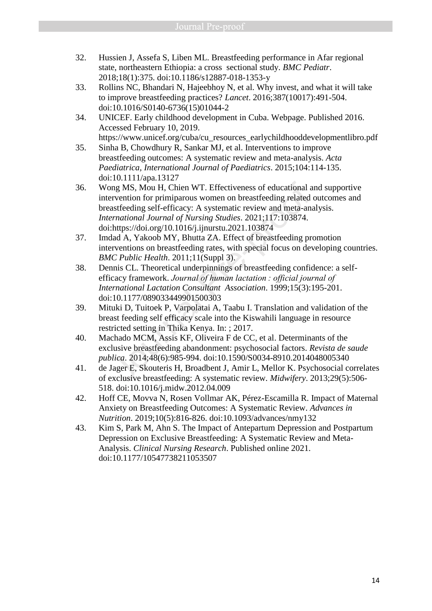- 32. Hussien J, Assefa S, Liben ML. Breastfeeding performance in Afar regional state, northeastern Ethiopia: a cross sectional study. *BMC Pediatr*. 2018;18(1):375. doi:10.1186/s12887-018-1353-y
- 33. Rollins NC, Bhandari N, Hajeebhoy N, et al. Why invest, and what it will take to improve breastfeeding practices? *Lancet*. 2016;387(10017):491-504. doi:10.1016/S0140-6736(15)01044-2
- 34. UNICEF. Early childhood development in Cuba. Webpage. Published 2016. Accessed February 10, 2019.
- https://www.unicef.org/cuba/cu\_resources\_earlychildhooddevelopmentlibro.pdf 35. Sinha B, Chowdhury R, Sankar MJ, et al. Interventions to improve breastfeeding outcomes: A systematic review and meta-analysis. *Acta*
- *Paediatrica, International Journal of Paediatrics*. 2015;104:114-135. doi:10.1111/apa.13127
- 36. Wong MS, Mou H, Chien WT. Effectiveness of educational and supportive intervention for primiparous women on breastfeeding related outcomes and breastfeeding self-efficacy: A systematic review and meta-analysis. *International Journal of Nursing Studies*. 2021;117:103874. doi:https://doi.org/10.1016/j.ijnurstu.2021.103874 or Muslim and Muslim and Sales and Muslim and Sales and Sales and Sales and Sales and Sales and Sales and Sales and Muslim and Muslim and Muslim and Muslim and Muslim and Muslim and Muslim and Muslim and Muslim and Muslim
- 37. Imdad A, Yakoob MY, Bhutta ZA. Effect of breastfeeding promotion interventions on breastfeeding rates, with special focus on developing countries. *BMC Public Health*. 2011;11(Suppl 3).
- 38. Dennis CL. Theoretical underpinnings of breastfeeding confidence: a selfefficacy framework. *Journal of human lactation : official journal of International Lactation Consultant Association*. 1999;15(3):195-201. doi:10.1177/089033449901500303
- 39. Mituki D, Tuitoek P, Varpolatai A, Taabu I. Translation and validation of the breast feeding self efficacy scale into the Kiswahili language in resource restricted setting in Thika Kenya. In: ; 2017.
- 40. Machado MCM, Assis KF, Oliveira F de CC, et al. Determinants of the exclusive breastfeeding abandonment: psychosocial factors. *Revista de saude publica*. 2014;48(6):985-994. doi:10.1590/S0034-8910.2014048005340
- 41. de Jager E, Skouteris H, Broadbent J, Amir L, Mellor K. Psychosocial correlates of exclusive breastfeeding: A systematic review. *Midwifery*. 2013;29(5):506- 518. doi:10.1016/j.midw.2012.04.009
- 42. Hoff CE, Movva N, Rosen Vollmar AK, Pérez-Escamilla R. Impact of Maternal Anxiety on Breastfeeding Outcomes: A Systematic Review. *Advances in Nutrition*. 2019;10(5):816-826. doi:10.1093/advances/nmy132
- 43. Kim S, Park M, Ahn S. The Impact of Antepartum Depression and Postpartum Depression on Exclusive Breastfeeding: A Systematic Review and Meta-Analysis. *Clinical Nursing Research*. Published online 2021. doi:10.1177/10547738211053507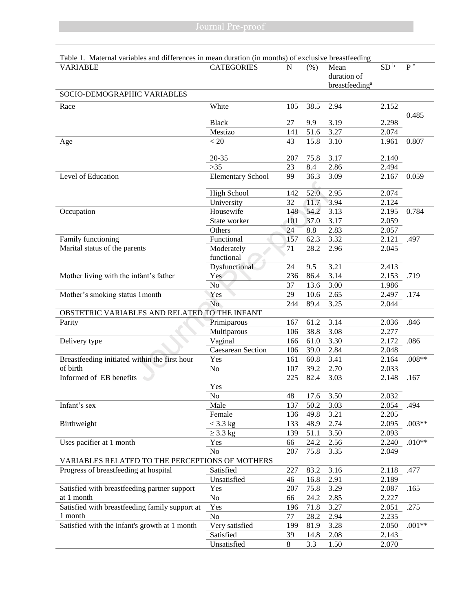| radio 1. Maternar variables and unferences in inean duration (in months) or exclusive breasticeuing | <b>CATEGORIES</b>        |     |      |                            | SD <sup>b</sup> | $\overline{P^*}$ |
|-----------------------------------------------------------------------------------------------------|--------------------------|-----|------|----------------------------|-----------------|------------------|
| <b>VARIABLE</b>                                                                                     |                          | N   | (% ) | Mean                       |                 |                  |
|                                                                                                     |                          |     |      | duration of                |                 |                  |
|                                                                                                     |                          |     |      | breastfeeding <sup>a</sup> |                 |                  |
| SOCIO-DEMOGRAPHIC VARIABLES                                                                         |                          |     |      |                            |                 |                  |
| Race                                                                                                | White                    | 105 | 38.5 | 2.94                       | 2.152           |                  |
|                                                                                                     |                          |     |      |                            |                 | 0.485            |
|                                                                                                     | <b>Black</b>             | 27  | 9.9  | 3.19                       | 2.298           |                  |
|                                                                                                     | Mestizo                  | 141 | 51.6 | 3.27                       | 2.074           |                  |
| Age                                                                                                 | < 20                     | 43  | 15.8 | 3.10                       | 1.961           | 0.807            |
|                                                                                                     |                          |     |      |                            |                 |                  |
|                                                                                                     | $20 - 35$                | 207 | 75.8 | 3.17                       | 2.140           |                  |
|                                                                                                     | $>35$                    | 23  | 8.4  | 2.86                       | 2.494           |                  |
| Level of Education                                                                                  | <b>Elementary School</b> | 99  | 36.3 | 3.09                       | 2.167           | 0.059            |
|                                                                                                     | <b>High School</b>       | 142 | 52.0 | 2.95                       | 2.074           |                  |
|                                                                                                     | University               | 32  | 11.7 | 3.94                       | 2.124           |                  |
|                                                                                                     | Housewife                |     |      |                            |                 |                  |
| Occupation                                                                                          |                          | 148 | 54.2 | 3.13                       | 2.195           | 0.784            |
|                                                                                                     | State worker             | 101 | 37.0 | 3.17                       | 2.059           |                  |
|                                                                                                     | Others                   | 24  | 8.8  | 2.83                       | 2.057           |                  |
| Family functioning                                                                                  | Functional               | 157 | 62.3 | $3.\overline{32}$          | 2.121           | .497             |
| Marital status of the parents                                                                       | Moderately               | 71  | 28.2 | 2.96                       | 2.045           |                  |
|                                                                                                     | functional               |     |      |                            |                 |                  |
|                                                                                                     | Dysfunctional            | 24  | 9.5  | 3.21                       | 2.413           |                  |
| Mother living with the infant's father                                                              | Yes                      | 236 | 86.4 | 3.14                       | 2.153           | .719             |
|                                                                                                     | N <sub>o</sub>           | 37  | 13.6 | 3.00                       | 1.986           |                  |
| Mother's smoking status 1 month                                                                     | Yes                      | 29  | 10.6 | 2.65                       | 2.497           | .174             |
|                                                                                                     | N <sub>o</sub>           | 244 | 89.4 | 3.25                       | 2.044           |                  |
| OBSTETRIC VARIABLES AND RELATED TO THE INFANT                                                       |                          |     |      |                            |                 |                  |
| Parity                                                                                              | Primiparous              | 167 | 61.2 | 3.14                       | 2.036           | .846             |
|                                                                                                     | Multiparous              | 106 | 38.8 | 3.08                       | 2.277           |                  |
| Delivery type                                                                                       | Vaginal                  | 166 | 61.0 | 3.30                       | 2.172           | .086             |
|                                                                                                     | Caesarean Section        | 106 | 39.0 | 2.84                       | 2.048           |                  |
| Breastfeeding initiated within the first hour                                                       | Yes                      | 161 | 60.8 | 3.41                       | 2.164           | $.008**$         |
| of birth                                                                                            | N <sub>o</sub>           | 107 | 39.2 | 2.70                       | 2.033           |                  |
| Informed of EB benefits                                                                             |                          | 225 | 82.4 | 3.03                       | 2.148           | .167             |
|                                                                                                     | Yes                      |     |      |                            |                 |                  |
|                                                                                                     | No                       | 48  | 17.6 | 3.50                       | 2.032           |                  |
| Infant's sex                                                                                        | Male                     | 137 | 50.2 | 3.03                       | 2.054           | .494             |
|                                                                                                     | Female                   | 136 | 49.8 | 3.21                       | 2.205           |                  |
| Birthweight                                                                                         | $<$ 3.3 kg               | 133 | 48.9 | 2.74                       | 2.095           | $.003**$         |
|                                                                                                     | $\geq$ 3.3 kg            | 139 | 51.1 | 3.50                       | 2.093           |                  |
| Uses pacifier at 1 month                                                                            | Yes                      | 66  | 24.2 | 2.56                       | 2.240           | $.010**$         |
|                                                                                                     | N <sub>o</sub>           | 207 | 75.8 | 3.35                       | 2.049           |                  |
| VARIABLES RELATED TO THE PERCEPTIONS OF MOTHERS                                                     |                          |     |      |                            |                 |                  |
| Progress of breastfeeding at hospital                                                               | Satisfied                | 227 | 83.2 | 3.16                       | 2.118           | .477             |
|                                                                                                     | Unsatisfied              | 46  | 16.8 | 2.91                       | 2.189           |                  |
| Satisfied with breastfeeding partner support                                                        | Yes                      | 207 | 75.8 | 3.29                       | 2.087           | .165             |
| at 1 month                                                                                          | No                       | 66  | 24.2 | 2.85                       | 2.227           |                  |
|                                                                                                     |                          |     |      |                            |                 |                  |
| Satisfied with breastfeeding family support at                                                      | Yes                      | 196 | 71.8 | 3.27                       | 2.051           | .275             |
| 1 month                                                                                             | N <sub>o</sub>           | 77  | 28.2 | 2.94                       | 2.235           |                  |
| Satisfied with the infant's growth at 1 month                                                       | Very satisfied           | 199 | 81.9 | 3.28                       | 2.050           | $.001**$         |
|                                                                                                     | Satisfied                | 39  | 14.8 | 2.08                       | 2.143           |                  |
|                                                                                                     | Unsatisfied              | 8   | 3.3  | 1.50                       | 2.070           |                  |

# Table 1. Maternal variables and differences in mean duration (in months) of exclusive breastfeeding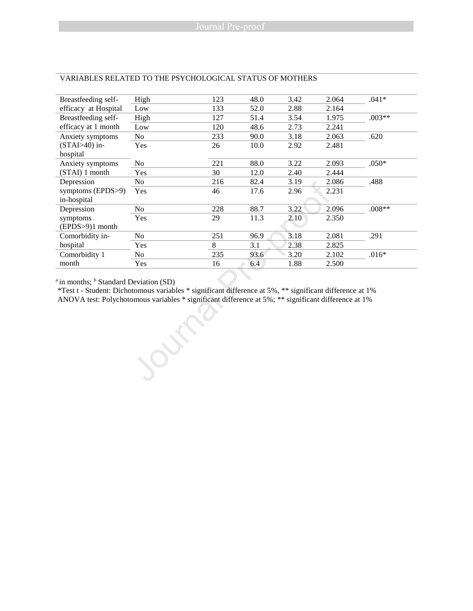| $.041*$<br>$.003**$<br>.620<br>$.050*$ |
|----------------------------------------|
|                                        |
|                                        |
|                                        |
|                                        |
|                                        |
|                                        |
|                                        |
|                                        |
| .488                                   |
|                                        |
| $.008**$                               |
|                                        |
| .291                                   |
|                                        |
| $.016*$                                |
|                                        |
|                                        |

### VARIABLES RELATED TO THE PSYCHOLOGICAL STATUS OF MOTHERS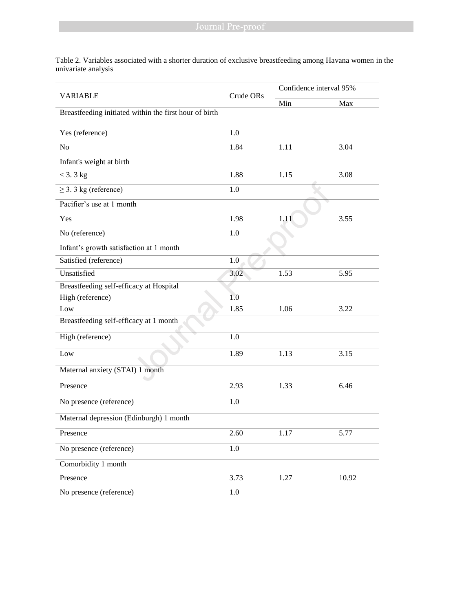Table 2. Variables associated with a shorter duration of exclusive breastfeeding among Havana women in the univariate analysis

|                                                        | Crude ORs | Confidence interval 95% |       |  |  |
|--------------------------------------------------------|-----------|-------------------------|-------|--|--|
| <b>VARIABLE</b>                                        |           | Min                     | Max   |  |  |
| Breastfeeding initiated within the first hour of birth |           |                         |       |  |  |
| Yes (reference)                                        | 1.0       |                         |       |  |  |
| N <sub>o</sub>                                         | 1.84      | 1.11                    | 3.04  |  |  |
| Infant's weight at birth                               |           |                         |       |  |  |
| $<$ 3. 3 kg                                            | 1.88      | 1.15                    | 3.08  |  |  |
| $\geq$ 3. 3 kg (reference)                             | 1.0       |                         |       |  |  |
| Pacifier's use at 1 month                              |           |                         |       |  |  |
| Yes                                                    | 1.98      | 1.11                    | 3.55  |  |  |
| No (reference)                                         | 1.0       |                         |       |  |  |
| Infant's growth satisfaction at 1 month                |           |                         |       |  |  |
| Satisfied (reference)                                  | 1.0       |                         |       |  |  |
| Unsatisfied                                            | 3.02      | 1.53                    | 5.95  |  |  |
| Breastfeeding self-efficacy at Hospital                |           |                         |       |  |  |
| High (reference)                                       | 1.0       |                         |       |  |  |
| Low                                                    | 1.85      | 1.06                    | 3.22  |  |  |
| Breastfeeding self-efficacy at 1 month                 |           |                         |       |  |  |
| High (reference)                                       | 1.0       |                         |       |  |  |
| Low                                                    | 1.89      | 1.13                    | 3.15  |  |  |
| Maternal anxiety (STAI) 1 month                        |           |                         |       |  |  |
| Presence                                               | 2.93      | 1.33                    | 6.46  |  |  |
| No presence (reference)                                | 1.0       |                         |       |  |  |
| Maternal depression (Edinburgh) 1 month                |           |                         |       |  |  |
| Presence                                               | 2.60      | 1.17                    | 5.77  |  |  |
| No presence (reference)                                | $1.0\,$   |                         |       |  |  |
| Comorbidity $\overline{1 \text{ month}}$               |           |                         |       |  |  |
| Presence                                               | 3.73      | 1.27                    | 10.92 |  |  |
| No presence (reference)                                | $1.0\,$   |                         |       |  |  |
|                                                        |           |                         |       |  |  |